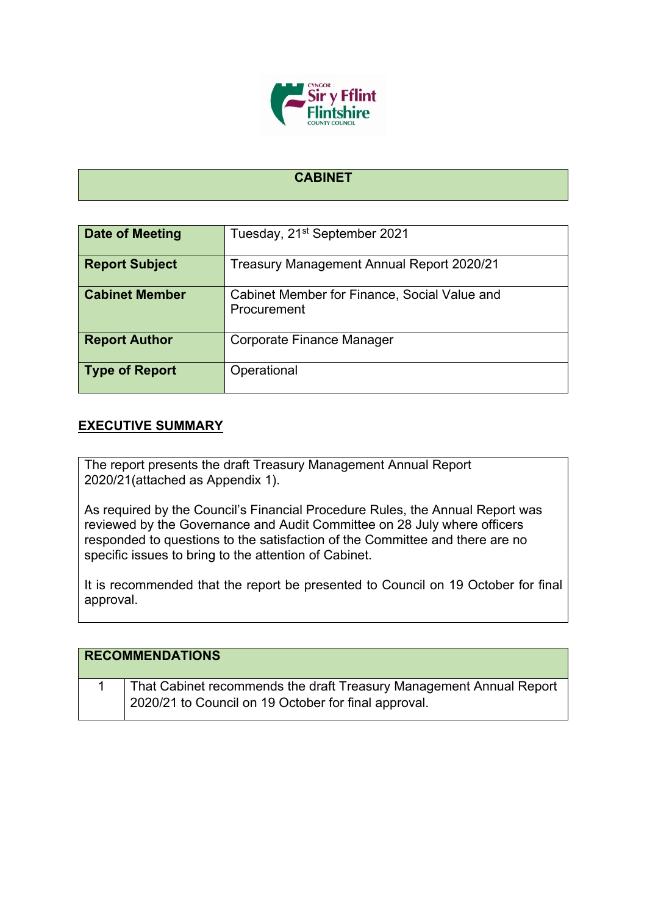

## **CABINET**

| Date of Meeting       | Tuesday, 21 <sup>st</sup> September 2021     |
|-----------------------|----------------------------------------------|
|                       |                                              |
| <b>Report Subject</b> | Treasury Management Annual Report 2020/21    |
|                       |                                              |
| <b>Cabinet Member</b> | Cabinet Member for Finance, Social Value and |
|                       | Procurement                                  |
|                       |                                              |
|                       |                                              |
| <b>Report Author</b>  | Corporate Finance Manager                    |
|                       |                                              |
|                       |                                              |
| <b>Type of Report</b> | Operational                                  |
|                       |                                              |
|                       |                                              |

## **EXECUTIVE SUMMARY**

The report presents the draft Treasury Management Annual Report 2020/21(attached as Appendix 1).

As required by the Council's Financial Procedure Rules, the Annual Report was reviewed by the Governance and Audit Committee on 28 July where officers responded to questions to the satisfaction of the Committee and there are no specific issues to bring to the attention of Cabinet.

It is recommended that the report be presented to Council on 19 October for final approval.

| <b>RECOMMENDATIONS</b> |                                                                                                                             |
|------------------------|-----------------------------------------------------------------------------------------------------------------------------|
|                        | That Cabinet recommends the draft Treasury Management Annual Report<br>2020/21 to Council on 19 October for final approval. |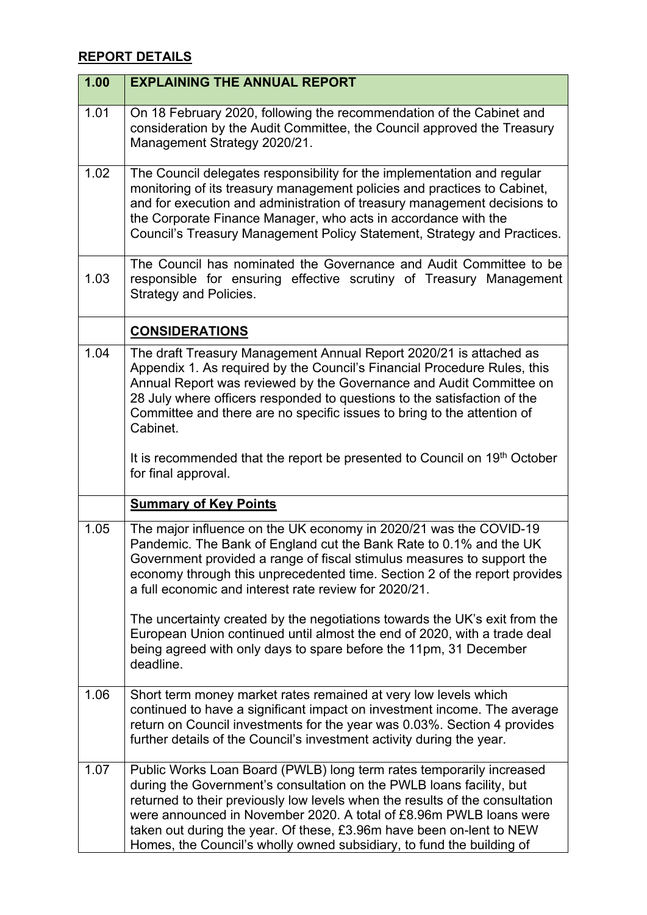## **REPORT DETAILS**

| 1.00 | <b>EXPLAINING THE ANNUAL REPORT</b>                                                                                                                                                                                                                                                                                                                                                                                                                 |
|------|-----------------------------------------------------------------------------------------------------------------------------------------------------------------------------------------------------------------------------------------------------------------------------------------------------------------------------------------------------------------------------------------------------------------------------------------------------|
| 1.01 | On 18 February 2020, following the recommendation of the Cabinet and<br>consideration by the Audit Committee, the Council approved the Treasury<br>Management Strategy 2020/21.                                                                                                                                                                                                                                                                     |
| 1.02 | The Council delegates responsibility for the implementation and regular<br>monitoring of its treasury management policies and practices to Cabinet,<br>and for execution and administration of treasury management decisions to<br>the Corporate Finance Manager, who acts in accordance with the<br>Council's Treasury Management Policy Statement, Strategy and Practices.                                                                        |
| 1.03 | The Council has nominated the Governance and Audit Committee to be<br>responsible for ensuring effective scrutiny of Treasury Management<br><b>Strategy and Policies.</b>                                                                                                                                                                                                                                                                           |
|      | <b>CONSIDERATIONS</b>                                                                                                                                                                                                                                                                                                                                                                                                                               |
| 1.04 | The draft Treasury Management Annual Report 2020/21 is attached as<br>Appendix 1. As required by the Council's Financial Procedure Rules, this<br>Annual Report was reviewed by the Governance and Audit Committee on<br>28 July where officers responded to questions to the satisfaction of the<br>Committee and there are no specific issues to bring to the attention of<br>Cabinet.                                                            |
|      | It is recommended that the report be presented to Council on 19 <sup>th</sup> October<br>for final approval.                                                                                                                                                                                                                                                                                                                                        |
|      | <b>Summary of Key Points</b>                                                                                                                                                                                                                                                                                                                                                                                                                        |
| 1.05 | The major influence on the UK economy in 2020/21 was the COVID-19<br>Pandemic. The Bank of England cut the Bank Rate to 0.1% and the UK<br>Government provided a range of fiscal stimulus measures to support the<br>economy through this unprecedented time. Section 2 of the report provides<br>a full economic and interest rate review for 2020/21.                                                                                             |
|      | The uncertainty created by the negotiations towards the UK's exit from the<br>European Union continued until almost the end of 2020, with a trade deal<br>being agreed with only days to spare before the 11pm, 31 December<br>deadline.                                                                                                                                                                                                            |
| 1.06 | Short term money market rates remained at very low levels which<br>continued to have a significant impact on investment income. The average<br>return on Council investments for the year was 0.03%. Section 4 provides<br>further details of the Council's investment activity during the year.                                                                                                                                                    |
| 1.07 | Public Works Loan Board (PWLB) long term rates temporarily increased<br>during the Government's consultation on the PWLB loans facility, but<br>returned to their previously low levels when the results of the consultation<br>were announced in November 2020. A total of £8.96m PWLB loans were<br>taken out during the year. Of these, £3.96m have been on-lent to NEW<br>Homes, the Council's wholly owned subsidiary, to fund the building of |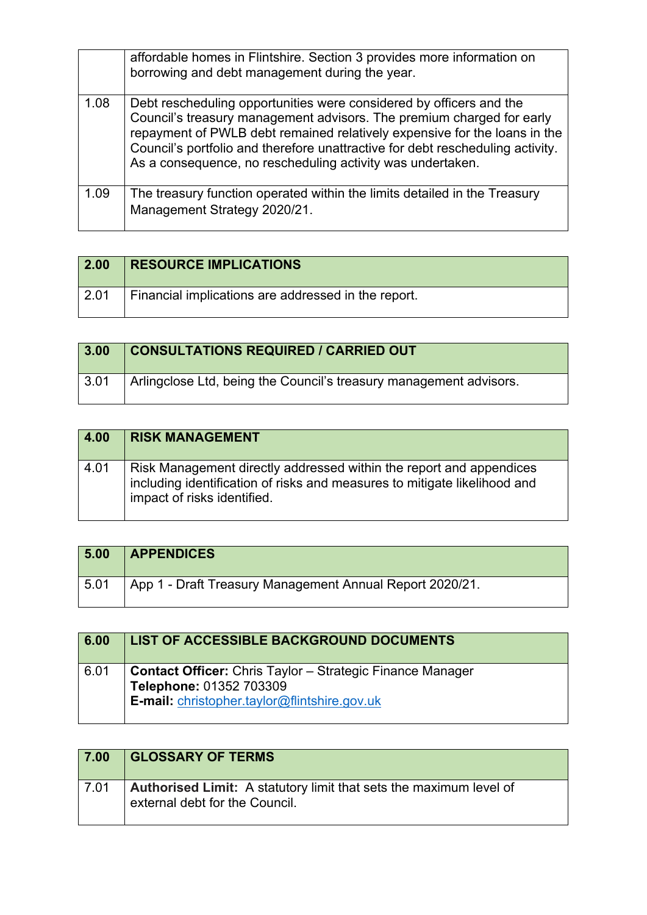|      | affordable homes in Flintshire. Section 3 provides more information on<br>borrowing and debt management during the year.                                                                                                                                                                                                                                                  |
|------|---------------------------------------------------------------------------------------------------------------------------------------------------------------------------------------------------------------------------------------------------------------------------------------------------------------------------------------------------------------------------|
| 1.08 | Debt rescheduling opportunities were considered by officers and the<br>Council's treasury management advisors. The premium charged for early<br>repayment of PWLB debt remained relatively expensive for the loans in the<br>Council's portfolio and therefore unattractive for debt rescheduling activity.<br>As a consequence, no rescheduling activity was undertaken. |
| 1.09 | The treasury function operated within the limits detailed in the Treasury<br>Management Strategy 2020/21.                                                                                                                                                                                                                                                                 |

| 2.00         | <b>RESOURCE IMPLICATIONS</b>                        |
|--------------|-----------------------------------------------------|
| $\vert$ 2.01 | Financial implications are addressed in the report. |

| 3.00         | <b>CONSULTATIONS REQUIRED / CARRIED OUT</b>                        |
|--------------|--------------------------------------------------------------------|
| $\vert$ 3.01 | Arlingclose Ltd, being the Council's treasury management advisors. |

| 4.00 | <b>RISK MANAGEMENT</b>                                                                                                                                                          |
|------|---------------------------------------------------------------------------------------------------------------------------------------------------------------------------------|
| 4.01 | Risk Management directly addressed within the report and appendices<br>including identification of risks and measures to mitigate likelihood and<br>impact of risks identified. |

| 5.00 | <b>APPENDICES</b>                                        |
|------|----------------------------------------------------------|
| 5.01 | App 1 - Draft Treasury Management Annual Report 2020/21. |

| 6.00 | LIST OF ACCESSIBLE BACKGROUND DOCUMENTS                                                                                                     |
|------|---------------------------------------------------------------------------------------------------------------------------------------------|
| 6.01 | <b>Contact Officer:</b> Chris Taylor – Strategic Finance Manager<br>Telephone: 01352 703309<br>E-mail: christopher.taylor@flintshire.gov.uk |

| 7.00   | <b>GLOSSARY OF TERMS</b>                                                                             |
|--------|------------------------------------------------------------------------------------------------------|
| ∣ 7.01 | Authorised Limit: A statutory limit that sets the maximum level of<br>external debt for the Council. |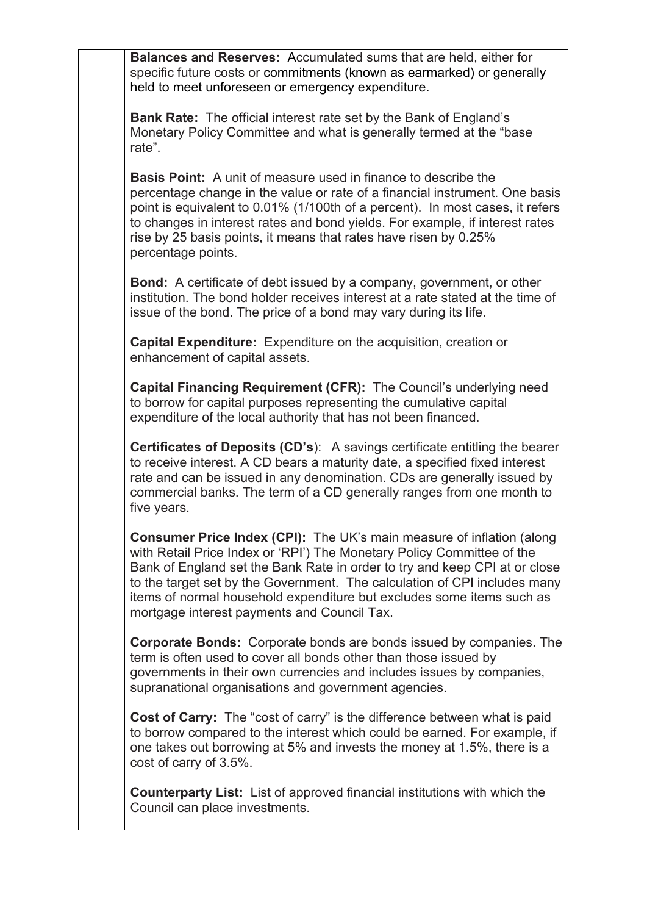**Balances and Reserves:** Accumulated sums that are held, either for specific future costs or commitments (known as earmarked) or generally held to meet unforeseen or emergency expenditure.

**Bank Rate:** The official interest rate set by the Bank of England's Monetary Policy Committee and what is generally termed at the "base rate".

**Basis Point:** A unit of measure used in finance to describe the percentage change in the value or rate of a financial instrument. One basis point is equivalent to 0.01% (1/100th of a percent). In most cases, it refers to changes in interest rates and bond yields. For example, if interest rates rise by 25 basis points, it means that rates have risen by 0.25% percentage points.

**Bond:** A certificate of debt issued by a company, government, or other institution. The bond holder receives interest at a rate stated at the time of issue of the bond. The price of a bond may vary during its life.

**Capital Expenditure:** Expenditure on the acquisition, creation or enhancement of capital assets.

**Capital Financing Requirement (CFR):** The Council's underlying need to borrow for capital purposes representing the cumulative capital expenditure of the local authority that has not been financed.

**Certificates of Deposits (CD's**): A savings certificate entitling the bearer to receive interest. A CD bears a maturity date, a specified fixed interest rate and can be issued in any denomination. CDs are generally issued by commercial banks. The term of a CD generally ranges from one month to five years.

**Consumer Price Index (CPI):** The UK's main measure of inflation (along with Retail Price Index or 'RPI') The Monetary Policy Committee of the Bank of England set the Bank Rate in order to try and keep CPI at or close to the target set by the Government. The calculation of CPI includes many items of normal household expenditure but excludes some items such as mortgage interest payments and Council Tax.

**Corporate Bonds:** Corporate bonds are bonds issued by companies. The term is often used to cover all bonds other than those issued by governments in their own currencies and includes issues by companies, supranational organisations and government agencies.

**Cost of Carry:** The "cost of carry" is the difference between what is paid to borrow compared to the interest which could be earned. For example, if one takes out borrowing at 5% and invests the money at 1.5%, there is a cost of carry of 3.5%.

**Counterparty List:** List of approved financial institutions with which the Council can place investments.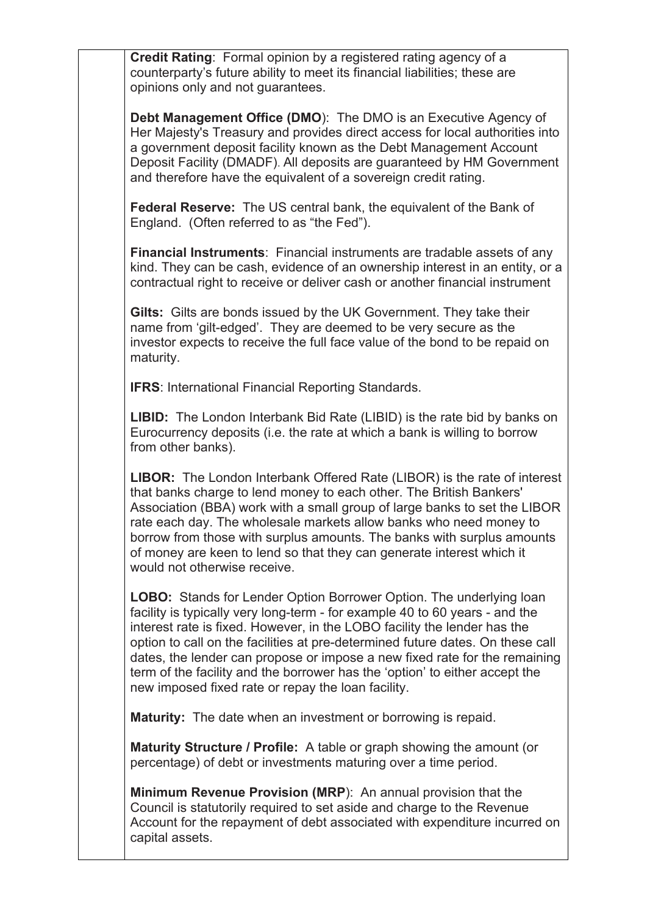**Credit Rating**: Formal opinion by a registered rating agency of a counterparty's future ability to meet its financial liabilities; these are opinions only and not guarantees.

**Debt Management Office (DMO**): The DMO is an Executive Agency of Her Majesty's Treasury and provides direct access for local authorities into a government deposit facility known as the Debt Management Account Deposit Facility (DMADF). All deposits are guaranteed by HM Government and therefore have the equivalent of a sovereign credit rating.

**Federal Reserve:** The US central bank, the equivalent of the Bank of England. (Often referred to as "the Fed").

**Financial Instruments**: Financial instruments are tradable assets of any kind. They can be cash, evidence of an ownership interest in an entity, or a contractual right to receive or deliver cash or another financial instrument

**Gilts:** Gilts are bonds issued by the UK Government. They take their name from 'gilt-edged'. They are deemed to be very secure as the investor expects to receive the full face value of the bond to be repaid on maturity.

**IFRS**: International Financial Reporting Standards.

**LIBID:** The London Interbank Bid Rate (LIBID) is the rate bid by banks on Eurocurrency deposits (i.e. the rate at which a bank is willing to borrow from other banks).

**LIBOR:** The London Interbank Offered Rate (LIBOR) is the rate of interest that banks charge to lend money to each other. The British Bankers' Association (BBA) work with a small group of large banks to set the LIBOR rate each day. The wholesale markets allow banks who need money to borrow from those with surplus amounts. The banks with surplus amounts of money are keen to lend so that they can generate interest which it would not otherwise receive.

**LOBO:** Stands for Lender Option Borrower Option. The underlying loan facility is typically very long-term - for example 40 to 60 years - and the interest rate is fixed. However, in the LOBO facility the lender has the option to call on the facilities at pre-determined future dates. On these call dates, the lender can propose or impose a new fixed rate for the remaining term of the facility and the borrower has the 'option' to either accept the new imposed fixed rate or repay the loan facility.

**Maturity:** The date when an investment or borrowing is repaid.

**Maturity Structure / Profile:** A table or graph showing the amount (or percentage) of debt or investments maturing over a time period.

**Minimum Revenue Provision (MRP**): An annual provision that the Council is statutorily required to set aside and charge to the Revenue Account for the repayment of debt associated with expenditure incurred on capital assets.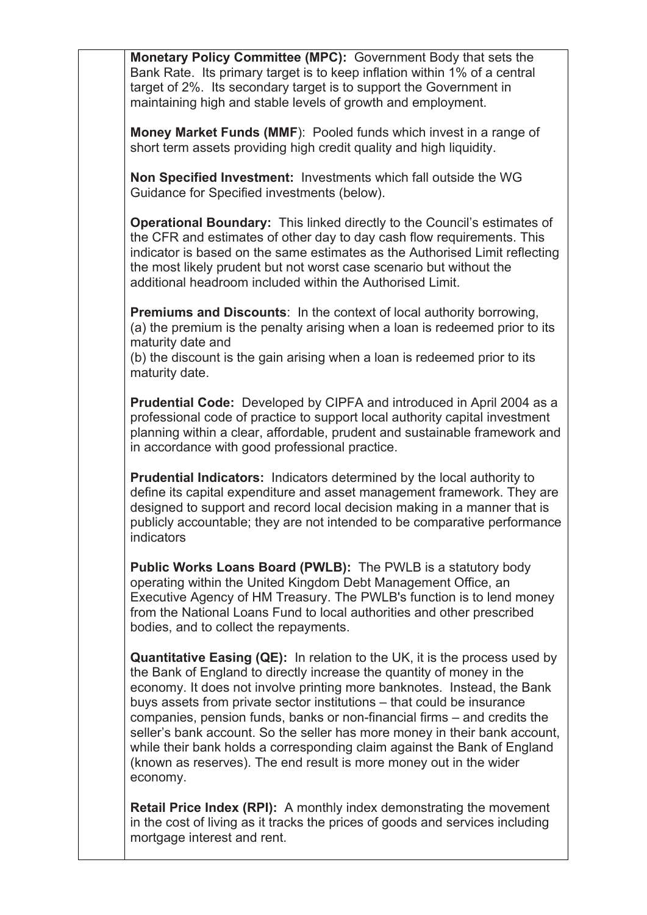**Monetary Policy Committee (MPC):** Government Body that sets the Bank Rate. Its primary target is to keep inflation within 1% of a central target of 2%. Its secondary target is to support the Government in maintaining high and stable levels of growth and employment.

**Money Market Funds (MMF**): Pooled funds which invest in a range of short term assets providing high credit quality and high liquidity.

**Non Specified Investment:** Investments which fall outside the WG Guidance for Specified investments (below).

**Operational Boundary:** This linked directly to the Council's estimates of the CFR and estimates of other day to day cash flow requirements. This indicator is based on the same estimates as the Authorised Limit reflecting the most likely prudent but not worst case scenario but without the additional headroom included within the Authorised Limit.

**Premiums and Discounts**: In the context of local authority borrowing, (a) the premium is the penalty arising when a loan is redeemed prior to its maturity date and

(b) the discount is the gain arising when a loan is redeemed prior to its maturity date.

**Prudential Code:** Developed by CIPFA and introduced in April 2004 as a professional code of practice to support local authority capital investment planning within a clear, affordable, prudent and sustainable framework and in accordance with good professional practice.

**Prudential Indicators:** Indicators determined by the local authority to define its capital expenditure and asset management framework. They are designed to support and record local decision making in a manner that is publicly accountable; they are not intended to be comparative performance indicators

**Public Works Loans Board (PWLB):** The PWLB is a statutory body operating within the United Kingdom Debt Management Office, an Executive Agency of HM Treasury. The PWLB's function is to lend money from the National Loans Fund to local authorities and other prescribed bodies, and to collect the repayments.

**Quantitative Easing (QE):** In relation to the UK, it is the process used by the Bank of England to directly increase the quantity of money in the economy. It does not involve printing more banknotes. Instead, the Bank buys assets from private sector institutions – that could be insurance companies, pension funds, banks or non-financial firms – and credits the seller's bank account. So the seller has more money in their bank account, while their bank holds a corresponding claim against the Bank of England (known as reserves). The end result is more money out in the wider economy.

**Retail Price Index (RPI):** A monthly index demonstrating the movement in the cost of living as it tracks the prices of goods and services including mortgage interest and rent.